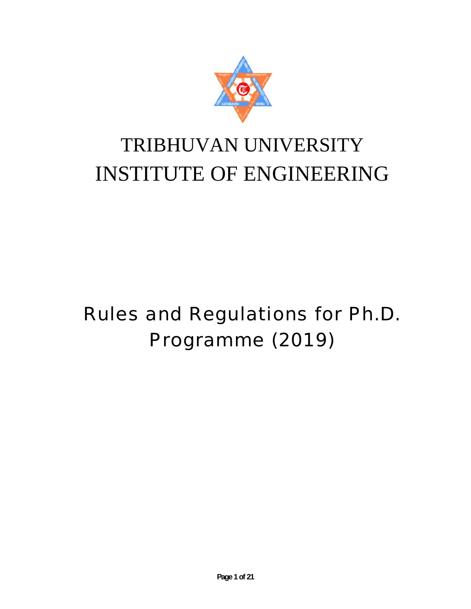

## TRIBHUVAN UNIVERSITY INSTITUTE OF ENGINEERING

# Rules and Regulations for Ph.D. Programme (2019) **INSTITUTE OF ENGINEERING**<br>Rules and Regulations for Ph.D<br>Programme (2019)<br>Regidants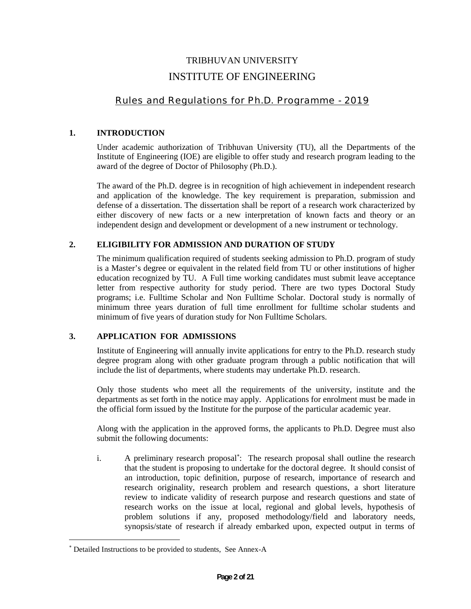#### TRIBHUVAN UNIVERSITY INSTITUTE OF ENGINEERING

#### Rules and Regulations for Ph.D. Programme - 2019

#### **1. INTRODUCTION**

Under academic authorization of Tribhuvan University (TU), all the Departments of the Institute of Engineering (IOE) are eligible to offer study and research program leading to the award of the degree of Doctor of Philosophy (Ph.D.).

The award of the Ph.D. degree is in recognition of high achievement in independent research and application of the knowledge. The key requirement is preparation, submission and defense of a dissertation. The dissertation shall be report of a research work characterized by either discovery of new facts or a new interpretation of known facts and theory or an independent design and development or development of a new instrument or technology.

#### **2. ELIGIBILITY FOR ADMISSION AND DURATION OF STUDY**

The minimum qualification required of students seeking admission to Ph.D. program of study is a Master's degree or equivalent in the related field from TU or other institutions of higher education recognized by TU. A Full time working candidates must submit leave acceptance letter from respective authority for study period. There are two types Doctoral Study programs; i.e. Fulltime Scholar and Non Fulltime Scholar. Doctoral study is normally of minimum three years duration of full time enrollment for fulltime scholar students and minimum of five years of duration study for Non Fulltime Scholars.

#### **3. APPLICATION FOR ADMISSIONS**

Institute of Engineering will annually invite applications for entry to the Ph.D. research study degree program along with other graduate program through a public notification that will include the list of departments, where students may undertake Ph.D. research.

Only those students who meet all the requirements of the university, institute and the departments as set forth in the notice may apply. Applications for enrolment must be made in the official form issued by the Institute for the purpose of the particular academic year.

Along with the application in the approved forms, the applicants to Ph.D. Degree must also submit the following documents:

i. A preliminary research proposal : The research proposal shall outline the research that the student is proposing to undertake for the doctoral degree. It should consist of an introduction, topic definition, purpose of research, importance of research and research originality, research problem and research questions, a short literature review to indicate validity of research purpose and research questions and state of research works on the issue at local, regional and global levels, hypothesis of problem solutions if any, proposed methodology/field and laboratory needs, synopsis/state of research if already embarked upon, expected output in terms of

Detailed Instructions to be provided to students, See Annex-A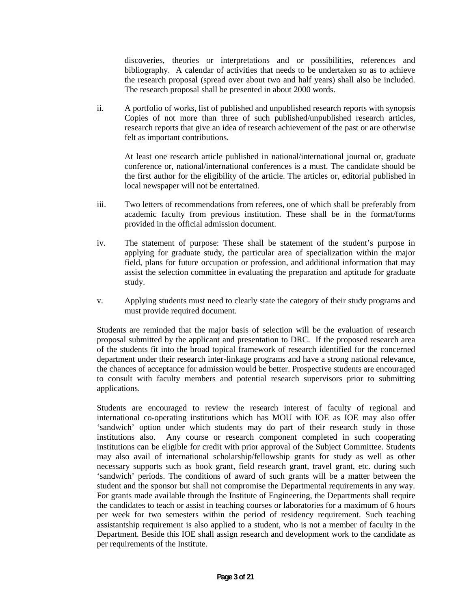discoveries, theories or interpretations and or possibilities, references and bibliography. A calendar of activities that needs to be undertaken so as to achieve the research proposal (spread over about two and half years) shall also be included. The research proposal shall be presented in about 2000 words.

ii. A portfolio of works, list of published and unpublished research reports with synopsis Copies of not more than three of such published/unpublished research articles, research reports that give an idea of research achievement of the past or are otherwise felt as important contributions.

At least one research article published in national/international journal or, graduate conference or, national/international conferences is a must. The candidate should be the first author for the eligibility of the article. The articles or, editorial published in local newspaper will not be entertained.

- iii. Two letters of recommendations from referees, one of which shall be preferably from academic faculty from previous institution. These shall be in the format/forms provided in the official admission document.
- iv. The statement of purpose: These shall be statement of the student's purpose in applying for graduate study, the particular area of specialization within the major field, plans for future occupation or profession, and additional information that may assist the selection committee in evaluating the preparation and aptitude for graduate study.
- v. Applying students must need to clearly state the category of their study programs and must provide required document.

Students are reminded that the major basis of selection will be the evaluation of research proposal submitted by the applicant and presentation to DRC. If the proposed research area of the students fit into the broad topical framework of research identified for the concerned department under their research inter-linkage programs and have a strong national relevance, the chances of acceptance for admission would be better. Prospective students are encouraged to consult with faculty members and potential research supervisors prior to submitting applications.

Students are encouraged to review the research interest of faculty of regional and international co-operating institutions which has MOU with IOE as IOE may also offer 'sandwich' option under which students may do part of their research study in those institutions also. Any course or research component completed in such cooperating institutions can be eligible for credit with prior approval of the Subject Committee. Students may also avail of international scholarship/fellowship grants for study as well as other necessary supports such as book grant, field research grant, travel grant, etc. during such 'sandwich' periods. The conditions of award of such grants will be a matter between the student and the sponsor but shall not compromise the Departmental requirements in any way. For grants made available through the Institute of Engineering, the Departments shall require the candidates to teach or assist in teaching courses or laboratories for a maximum of 6 hours per week for two semesters within the period of residency requirement. Such teaching assistantship requirement is also applied to a student, who is not a member of faculty in the Department. Beside this IOE shall assign research and development work to the candidate as per requirements of the Institute.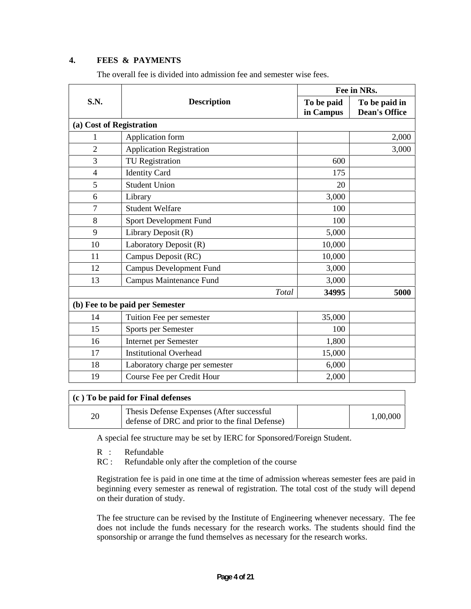#### **4. FEES & PAYMENTS**

|                |                                 | Fee in NRs.             |                                       |  |
|----------------|---------------------------------|-------------------------|---------------------------------------|--|
| S.N.           | <b>Description</b>              | To be paid<br>in Campus | To be paid in<br><b>Dean's Office</b> |  |
|                | (a) Cost of Registration        |                         |                                       |  |
| 1              | Application form                |                         | 2,000                                 |  |
| $\overline{2}$ | Application Registration        |                         | 3,000                                 |  |
| 3              | <b>TU</b> Registration          | 600                     |                                       |  |
| $\overline{4}$ | <b>Identity Card</b>            | 175                     |                                       |  |
| 5              | <b>Student Union</b>            | 20                      |                                       |  |
| 6              | Library                         | 3,000                   |                                       |  |
| 7              | <b>Student Welfare</b>          | 100                     |                                       |  |
| 8              | Sport Development Fund          | 100                     |                                       |  |
| 9              | Library Deposit (R)             | 5,000                   |                                       |  |
| 10             | Laboratory Deposit (R)          | 10,000                  |                                       |  |
| 11             | Campus Deposit (RC)             | 10,000                  |                                       |  |
| 12             | <b>Campus Development Fund</b>  | 3,000                   |                                       |  |
| 13             | <b>Campus Maintenance Fund</b>  | 3,000                   |                                       |  |
|                | Total                           | 34995                   | 5000                                  |  |
|                | (b) Fee to be paid per Semester |                         |                                       |  |
| 14             | Tuition Fee per semester        | 35,000                  |                                       |  |
| 15             | Sports per Semester             | 100                     |                                       |  |
| 16             | Internet per Semester           | 1,800                   |                                       |  |
| 17             | <b>Institutional Overhead</b>   | 15,000                  |                                       |  |
| 18             | Laboratory charge per semester  | 6,000                   |                                       |  |
| 19             | Course Fee per Credit Hour      | 2,000                   |                                       |  |

The overall fee is divided into admission fee and semester wise fees.

|    | (c) To be paid for Final defenses                                                            |          |
|----|----------------------------------------------------------------------------------------------|----------|
| 20 | Thesis Defense Expenses (After successful)<br>defense of DRC and prior to the final Defense) | 1,00,000 |

A special fee structure may be set by IERC for Sponsored/Foreign Student.

R : Refundable<br>RC : Refundable

Refundable only after the completion of the course

Registration fee is paid in one time at the time of admission whereas semester fees are paid in beginning every semester as renewal of registration. The total cost of the study will depend on their duration of study.

The fee structure can be revised by the Institute of Engineering whenever necessary. The fee does not include the funds necessary for the research works. The students should find the sponsorship or arrange the fund themselves as necessary for the research works.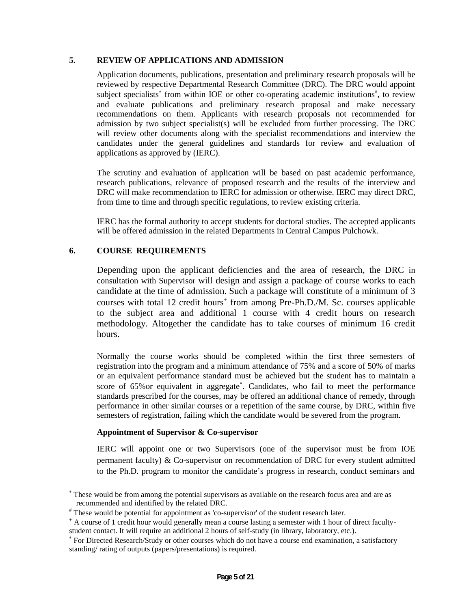#### **5. REVIEW OF APPLICATIONS AND ADMISSION**

Application documents, publications, presentation and preliminary research proposals will be reviewed by respective Departmental Research Committee (DRC). The DRC would appoint subject specialists<sup>\*</sup> from within IOE or other co-operating academic institutions<sup>#</sup>, to review and evaluate publications and preliminary research proposal and make necessary recommendations on them. Applicants with research proposals not recommended for admission by two subject specialist(s) will be excluded from further processing. The DRC will review other documents along with the specialist recommendations and interview the candidates under the general guidelines and standards for review and evaluation of applications as approved by (IERC).

The scrutiny and evaluation of application will be based on past academic performance, research publications, relevance of proposed research and the results of the interview and DRC will make recommendation to IERC for admission or otherwise. IERC may direct DRC, from time to time and through specific regulations, to review existing criteria.

IERC has the formal authority to accept students for doctoral studies. The accepted applicants will be offered admission in the related Departments in Central Campus Pulchowk.

#### **6. COURSE REQUIREMENTS**

Depending upon the applicant deficiencies and the area of research, the DRC in consultation with Supervisor will design and assign a package of course works to each candidate at the time of admission. Such a package will constitute of a minimum of 3 courses with total 12 credit hours<sup>+</sup> from among Pre-Ph.D./M. Sc. courses applicable to the subject area and additional 1 course with 4 credit hours on research methodology. Altogether the candidate has to take courses of minimum 16 credit hours.

Normally the course works should be completed within the first three semesters of registration into the program and a minimum attendance of 75% and a score of 50% of marks or an equivalent performance standard must be achieved but the student has to maintain a score of 65%or equivalent in aggregate . Candidates, who fail to meet the performance standards prescribed for the courses, may be offered an additional chance of remedy, through performance in other similar courses or a repetition of the same course, by DRC, within five semesters of registration, failing which the candidate would be severed from the program.

#### **Appointment of Supervisor & Co-supervisor**

IERC will appoint one or two Supervisors (one of the supervisor must be from IOE permanent faculty) & Co-supervisor on recommendation of DRC for every student admitted to the Ph.D. program to monitor the candidate's progress in research, conduct seminars and

These would be from among the potential supervisors as available on the research focus area and are as recommended and identified by the related DRC.

These would be potential for appointment as 'co-supervisor' of the student research later.

 $^{\dagger}$  A course of 1 credit hour would generally mean a course lasting a semester with 1 hour of direct facultystudent contact. It will require an additional 2 hours of self-study (in library, laboratory, etc.).

For Directed Research/Study or other courses which do not have a course end examination, a satisfactory standing/ rating of outputs (papers/presentations) is required.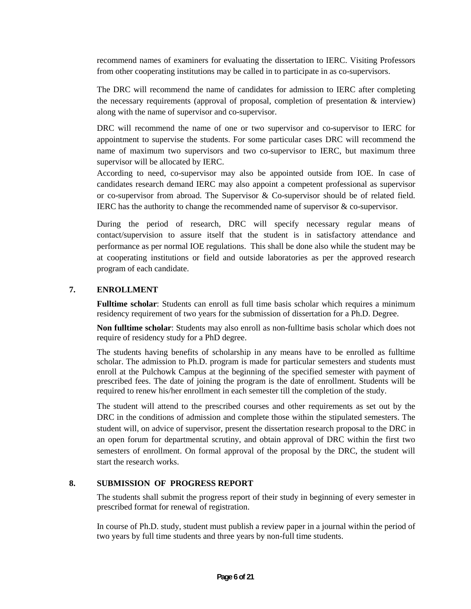recommend names of examiners for evaluating the dissertation to IERC. Visiting Professors from other cooperating institutions may be called in to participate in as co-supervisors.

The DRC will recommend the name of candidates for admission to IERC after completing the necessary requirements (approval of proposal, completion of presentation  $\&$  interview) along with the name of supervisor and co-supervisor.

DRC will recommend the name of one or two supervisor and co-supervisor to IERC for appointment to supervise the students. For some particular cases DRC will recommend the name of maximum two supervisors and two co-supervisor to IERC, but maximum three supervisor will be allocated by IERC.

According to need, co-supervisor may also be appointed outside from IOE. In case of candidates research demand IERC may also appoint a competent professional as supervisor or co-supervisor from abroad. The Supervisor & Co-supervisor should be of related field. IERC has the authority to change the recommended name of supervisor & co-supervisor.

During the period of research, DRC will specify necessary regular means of contact/supervision to assure itself that the student is in satisfactory attendance and performance as per normal IOE regulations. This shall be done also while the student may be at cooperating institutions or field and outside laboratories as per the approved research program of each candidate.

#### **7. ENROLLMENT**

**Fulltime scholar**: Students can enroll as full time basis scholar which requires a minimum residency requirement of two years for the submission of dissertation for a Ph.D. Degree.

**Non fulltime scholar**: Students may also enroll as non-fulltime basis scholar which does not require of residency study for a PhD degree.

The students having benefits of scholarship in any means have to be enrolled as fulltime scholar. The admission to Ph.D. program is made for particular semesters and students must enroll at the Pulchowk Campus at the beginning of the specified semester with payment of prescribed fees. The date of joining the program is the date of enrollment. Students will be required to renew his/her enrollment in each semester till the completion of the study.

The student will attend to the prescribed courses and other requirements as set out by the DRC in the conditions of admission and complete those within the stipulated semesters. The student will, on advice of supervisor, present the dissertation research proposal to the DRC in an open forum for departmental scrutiny, and obtain approval of DRC within the first two semesters of enrollment. On formal approval of the proposal by the DRC, the student will start the research works.

#### **8. SUBMISSION OF PROGRESS REPORT**

The students shall submit the progress report of their study in beginning of every semester in prescribed format for renewal of registration.

In course of Ph.D. study, student must publish a review paper in a journal within the period of two years by full time students and three years by non-full time students.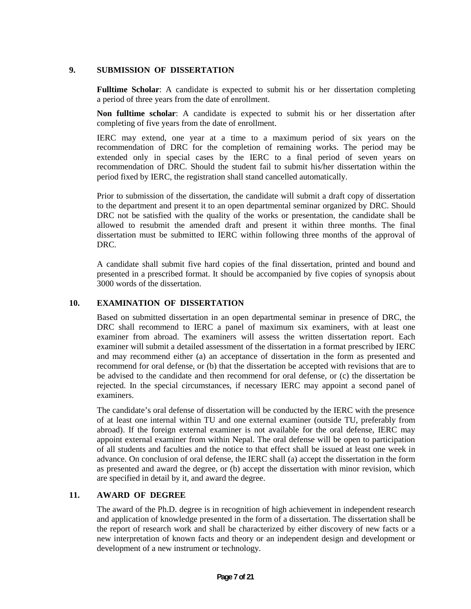#### **9. SUBMISSION OF DISSERTATION**

**Fulltime Scholar**: A candidate is expected to submit his or her dissertation completing a period of three years from the date of enrollment.

**Non fulltime scholar**: A candidate is expected to submit his or her dissertation after completing of five years from the date of enrollment.

IERC may extend, one year at a time to a maximum period of six years on the recommendation of DRC for the completion of remaining works. The period may be extended only in special cases by the IERC to a final period of seven years on recommendation of DRC. Should the student fail to submit his/her dissertation within the period fixed by IERC, the registration shall stand cancelled automatically.

Prior to submission of the dissertation, the candidate will submit a draft copy of dissertation to the department and present it to an open departmental seminar organized by DRC. Should DRC not be satisfied with the quality of the works or presentation, the candidate shall be allowed to resubmit the amended draft and present it within three months. The final dissertation must be submitted to IERC within following three months of the approval of DRC.

A candidate shall submit five hard copies of the final dissertation, printed and bound and presented in a prescribed format. It should be accompanied by five copies of synopsis about 3000 words of the dissertation.

#### **10. EXAMINATION OF DISSERTATION**

Based on submitted dissertation in an open departmental seminar in presence of DRC, the DRC shall recommend to IERC a panel of maximum six examiners, with at least one examiner from abroad. The examiners will assess the written dissertation report. Each examiner will submit a detailed assessment of the dissertation in a format prescribed by IERC and may recommend either (a) an acceptance of dissertation in the form as presented and recommend for oral defense, or (b) that the dissertation be accepted with revisions that are to be advised to the candidate and then recommend for oral defense, or (c) the dissertation be rejected. In the special circumstances, if necessary IERC may appoint a second panel of examiners.

The candidate's oral defense of dissertation will be conducted by the IERC with the presence of at least one internal within TU and one external examiner (outside TU, preferably from abroad). If the foreign external examiner is not available for the oral defense, IERC may appoint external examiner from within Nepal. The oral defense will be open to participation of all students and faculties and the notice to that effect shall be issued at least one week in advance. On conclusion of oral defense, the IERC shall (a) accept the dissertation in the form as presented and award the degree, or (b) accept the dissertation with minor revision, which are specified in detail by it, and award the degree.

#### **11. AWARD OF DEGREE**

The award of the Ph.D. degree is in recognition of high achievement in independent research and application of knowledge presented in the form of a dissertation. The dissertation shall be the report of research work and shall be characterized by either discovery of new facts or a new interpretation of known facts and theory or an independent design and development or development of a new instrument or technology.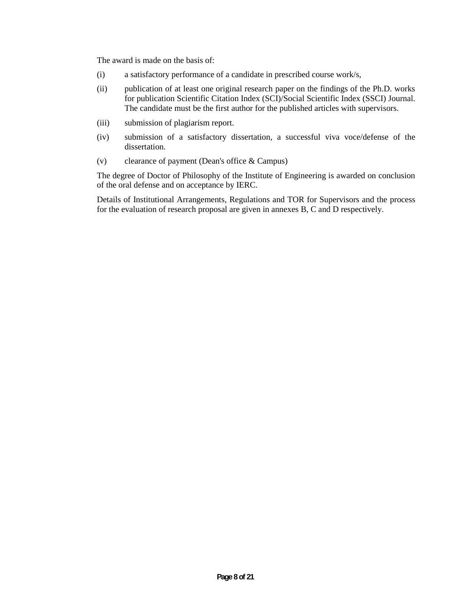The award is made on the basis of:

- (i) a satisfactory performance of a candidate in prescribed course work/s,
- (ii) publication of at least one original research paper on the findings of the Ph.D. works for publication Scientific Citation Index (SCI)/Social Scientific Index (SSCI) Journal. The candidate must be the first author for the published articles with supervisors.
- (iii) submission of plagiarism report.
- (iv) submission of a satisfactory dissertation, a successful viva voce/defense of the dissertation.
- (v) clearance of payment (Dean's office & Campus)

The degree of Doctor of Philosophy of the Institute of Engineering is awarded on conclusion of the oral defense and on acceptance by IERC.

Details of Institutional Arrangements, Regulations and TOR for Supervisors and the process for the evaluation of research proposal are given in annexes B, C and D respectively.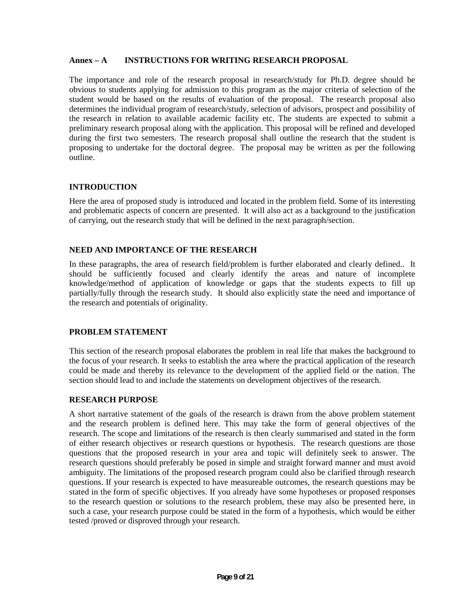#### **Annex – A INSTRUCTIONS FOR WRITING RESEARCH PROPOSAL**

The importance and role of the research proposal in research/study for Ph.D. degree should be obvious to students applying for admission to this program as the major criteria of selection of the student would be based on the results of evaluation of the proposal. The research proposal also determines the individual program of research/study, selection of advisors, prospect and possibility of the research in relation to available academic facility etc. The students are expected to submit a preliminary research proposal along with the application. This proposal will be refined and developed during the first two semesters. The research proposal shall outline the research that the student is proposing to undertake for the doctoral degree. The proposal may be written as per the following outline.

#### **INTRODUCTION**

Here the area of proposed study is introduced and located in the problem field. Some of its interesting and problematic aspects of concern are presented. It will also act as a background to the justification of carrying, out the research study that will be defined in the next paragraph/section.

#### **NEED AND IMPORTANCE OF THE RESEARCH**

In these paragraphs, the area of research field/problem is further elaborated and clearly defined.. It should be sufficiently focused and clearly identify the areas and nature of incomplete knowledge/method of application of knowledge or gaps that the students expects to fill up partially/fully through the research study. It should also explicitly state the need and importance of the research and potentials of originality.

#### **PROBLEM STATEMENT**

This section of the research proposal elaborates the problem in real life that makes the background to the focus of your research. It seeks to establish the area where the practical application of the research could be made and thereby its relevance to the development of the applied field or the nation. The section should lead to and include the statements on development objectives of the research.

#### **RESEARCH PURPOSE**

A short narrative statement of the goals of the research is drawn from the above problem statement and the research problem is defined here. This may take the form of general objectives of the research. The scope and limitations of the research is then clearly summarised and stated in the form of either research objectives or research questions or hypothesis. The research questions are those questions that the proposed research in your area and topic will definitely seek to answer. The research questions should preferably be posed in simple and straight forward manner and must avoid ambiguity. The limitations of the proposed research program could also be clarified through research questions. If your research is expected to have measureable outcomes, the research questions may be stated in the form of specific objectives. If you already have some hypotheses or proposed responses to the research question or solutions to the research problem, these may also be presented here, in such a case, your research purpose could be stated in the form of a hypothesis, which would be either tested /proved or disproved through your research.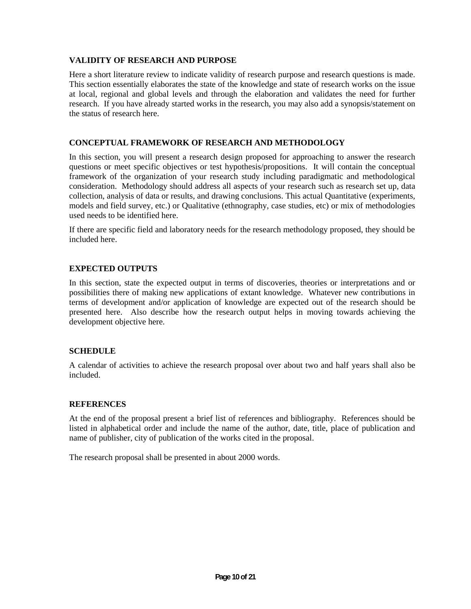#### **VALIDITY OF RESEARCH AND PURPOSE**

Here a short literature review to indicate validity of research purpose and research questions is made. This section essentially elaborates the state of the knowledge and state of research works on the issue at local, regional and global levels and through the elaboration and validates the need for further research. If you have already started works in the research, you may also add a synopsis/statement on the status of research here.

#### **CONCEPTUAL FRAMEWORK OF RESEARCH AND METHODOLOGY**

In this section, you will present a research design proposed for approaching to answer the research questions or meet specific objectives or test hypothesis/propositions. It will contain the conceptual framework of the organization of your research study including paradigmatic and methodological consideration. Methodology should address all aspects of your research such as research set up, data collection, analysis of data or results, and drawing conclusions. This actual Quantitative (experiments, models and field survey, etc.) or Qualitative (ethnography, case studies, etc) or mix of methodologies used needs to be identified here.

If there are specific field and laboratory needs for the research methodology proposed, they should be included here.

#### **EXPECTED OUTPUTS**

In this section, state the expected output in terms of discoveries, theories or interpretations and or possibilities there of making new applications of extant knowledge. Whatever new contributions in terms of development and/or application of knowledge are expected out of the research should be presented here. Also describe how the research output helps in moving towards achieving the development objective here.

#### **SCHEDULE**

A calendar of activities to achieve the research proposal over about two and half years shall also be included.

#### **REFERENCES**

At the end of the proposal present a brief list of references and bibliography. References should be listed in alphabetical order and include the name of the author, date, title, place of publication and name of publisher, city of publication of the works cited in the proposal.

The research proposal shall be presented in about 2000 words.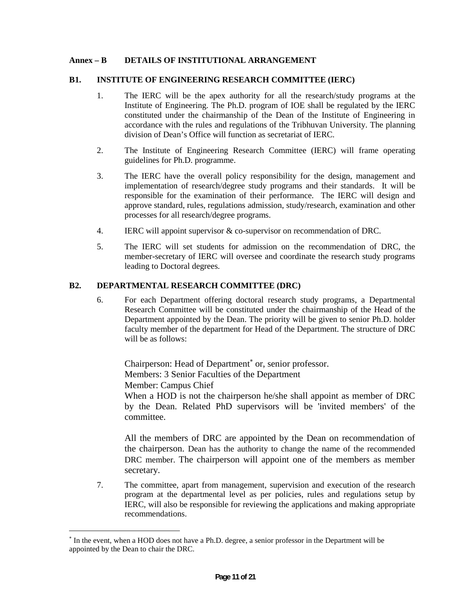#### **Annex – B DETAILS OF INSTITUTIONAL ARRANGEMENT**

#### **B1. INSTITUTE OF ENGINEERING RESEARCH COMMITTEE (IERC)**

- 1. The IERC will be the apex authority for all the research/study programs at the Institute of Engineering. The Ph.D. program of IOE shall be regulated by the IERC constituted under the chairmanship of the Dean of the Institute of Engineering in accordance with the rules and regulations of the Tribhuvan University. The planning division of Dean's Office will function as secretariat of IERC.
- 2. The Institute of Engineering Research Committee (IERC) will frame operating guidelines for Ph.D. programme.
- 3. The IERC have the overall policy responsibility for the design, management and implementation of research/degree study programs and their standards. It will be responsible for the examination of their performance. The IERC will design and approve standard, rules, regulations admission, study/research, examination and other processes for all research/degree programs.
- 4. IERC will appoint supervisor & co-supervisor on recommendation of DRC.
- 5. The IERC will set students for admission on the recommendation of DRC, the member-secretary of IERC will oversee and coordinate the research study programs leading to Doctoral degrees.

#### **B2. DEPARTMENTAL RESEARCH COMMITTEE (DRC)**

6. For each Department offering doctoral research study programs, a Departmental Research Committee will be constituted under the chairmanship of the Head of the Department appointed by the Dean. The priority will be given to senior Ph.D. holder faculty member of the department for Head of the Department. The structure of DRC will be as follows:

Chairperson: Head of Department<sup>\*</sup> or, senior professor. Members: 3 Senior Faculties of the Department Member: Campus Chief

When a HOD is not the chairperson he/she shall appoint as member of DRC by the Dean. Related PhD supervisors will be 'invited members' of the committee.

All the members of DRC are appointed by the Dean on recommendation of the chairperson. Dean has the authority to change the name of the recommended DRC member. The chairperson will appoint one of the members as member secretary.

7. The committee, apart from management, supervision and execution of the research program at the departmental level as per policies, rules and regulations setup by IERC, will also be responsible for reviewing the applications and making appropriate recommendations.

<sup>&</sup>lt;sup>\*</sup> In the event, when a HOD does not have a Ph.D. degree, a senior professor in the Department will be appointed by the Dean to chair the DRC.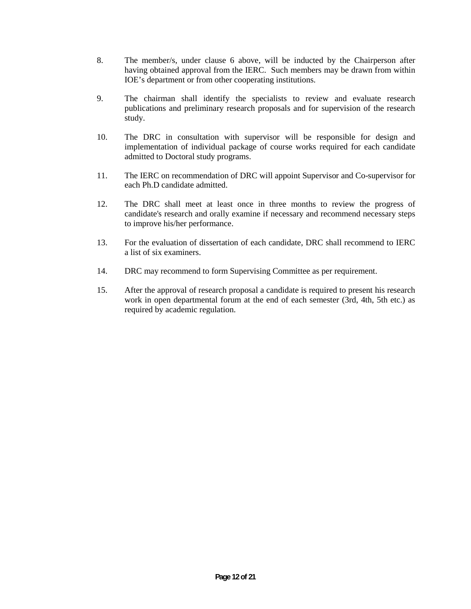- 8. The member/s, under clause 6 above, will be inducted by the Chairperson after having obtained approval from the IERC. Such members may be drawn from within IOE's department or from other cooperating institutions.
- 9. The chairman shall identify the specialists to review and evaluate research publications and preliminary research proposals and for supervision of the research study.
- 10. The DRC in consultation with supervisor will be responsible for design and implementation of individual package of course works required for each candidate admitted to Doctoral study programs.
- 11. The IERC on recommendation of DRC will appoint Supervisor and Co-supervisor for each Ph.D candidate admitted.
- 12. The DRC shall meet at least once in three months to review the progress of candidate's research and orally examine if necessary and recommend necessary steps to improve his/her performance.
- 13. For the evaluation of dissertation of each candidate, DRC shall recommend to IERC a list of six examiners.
- 14. DRC may recommend to form Supervising Committee as per requirement.
- 15. After the approval of research proposal a candidate is required to present his research work in open departmental forum at the end of each semester (3rd, 4th, 5th etc.) as required by academic regulation.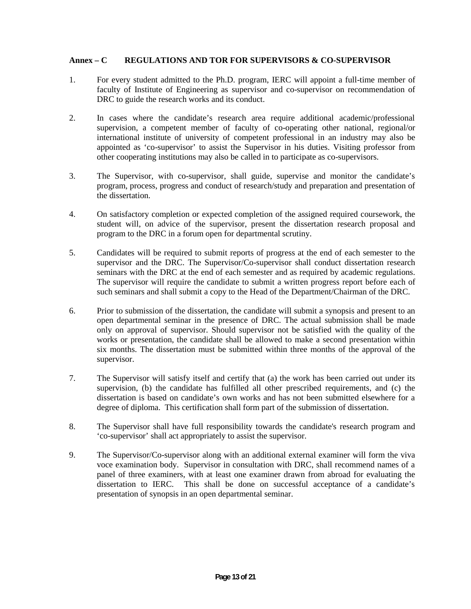#### **Annex – C REGULATIONS AND TOR FOR SUPERVISORS & CO-SUPERVISOR**

- 1. For every student admitted to the Ph.D. program, IERC will appoint a full-time member of faculty of Institute of Engineering as supervisor and co-supervisor on recommendation of DRC to guide the research works and its conduct.
- 2. In cases where the candidate's research area require additional academic/professional supervision, a competent member of faculty of co-operating other national, regional/or international institute of university of competent professional in an industry may also be appointed as 'co-supervisor' to assist the Supervisor in his duties. Visiting professor from other cooperating institutions may also be called in to participate as co-supervisors.
- 3. The Supervisor, with co-supervisor, shall guide, supervise and monitor the candidate's program, process, progress and conduct of research/study and preparation and presentation of the dissertation.
- 4. On satisfactory completion or expected completion of the assigned required coursework, the student will, on advice of the supervisor, present the dissertation research proposal and program to the DRC in a forum open for departmental scrutiny.
- 5. Candidates will be required to submit reports of progress at the end of each semester to the supervisor and the DRC. The Supervisor/Co-supervisor shall conduct dissertation research seminars with the DRC at the end of each semester and as required by academic regulations. The supervisor will require the candidate to submit a written progress report before each of such seminars and shall submit a copy to the Head of the Department/Chairman of the DRC.
- 6. Prior to submission of the dissertation, the candidate will submit a synopsis and present to an open departmental seminar in the presence of DRC. The actual submission shall be made only on approval of supervisor. Should supervisor not be satisfied with the quality of the works or presentation, the candidate shall be allowed to make a second presentation within six months. The dissertation must be submitted within three months of the approval of the supervisor.
- 7. The Supervisor will satisfy itself and certify that (a) the work has been carried out under its supervision, (b) the candidate has fulfilled all other prescribed requirements, and (c) the dissertation is based on candidate's own works and has not been submitted elsewhere for a degree of diploma. This certification shall form part of the submission of dissertation.
- 8. The Supervisor shall have full responsibility towards the candidate's research program and 'co-supervisor' shall act appropriately to assist the supervisor.
- 9. The Supervisor/Co-supervisor along with an additional external examiner will form the viva voce examination body. Supervisor in consultation with DRC, shall recommend names of a panel of three examiners, with at least one examiner drawn from abroad for evaluating the dissertation to IERC. This shall be done on successful acceptance of a candidate's presentation of synopsis in an open departmental seminar.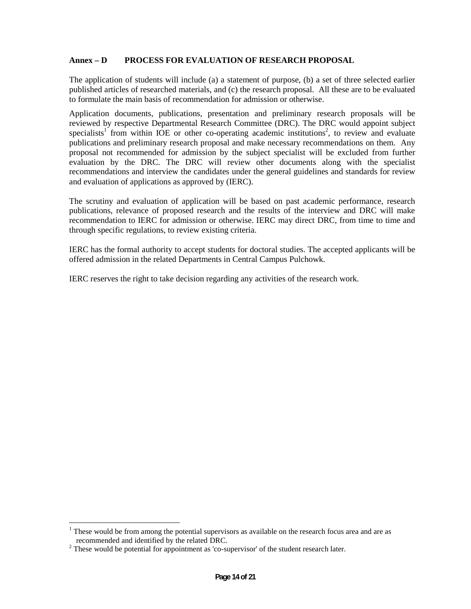#### **Annex – D PROCESS FOR EVALUATION OF RESEARCH PROPOSAL**

The application of students will include (a) a statement of purpose, (b) a set of three selected earlier published articles of researched materials, and (c) the research proposal. All these are to be evaluated to formulate the main basis of recommendation for admission or otherwise.

Application documents, publications, presentation and preliminary research proposals will be reviewed by respective Departmental Research Committee (DRC). The DRC would appoint subject specialists<sup>1</sup> from within IOE or other co-operating academic institutions<sup>2</sup>, to review and evaluate publications and preliminary research proposal and make necessary recommendations on them. Any proposal not recommended for admission by the subject specialist will be excluded from further evaluation by the DRC. The DRC will review other documents along with the specialist recommendations and interview the candidates under the general guidelines and standards for review and evaluation of applications as approved by (IERC).

The scrutiny and evaluation of application will be based on past academic performance, research publications, relevance of proposed research and the results of the interview and DRC will make recommendation to IERC for admission or otherwise. IERC may direct DRC, from time to time and through specific regulations, to review existing criteria.

IERC has the formal authority to accept students for doctoral studies. The accepted applicants will be offered admission in the related Departments in Central Campus Pulchowk.

IERC reserves the right to take decision regarding any activities of the research work.

 $1$ <sup>1</sup> These would be from among the potential supervisors as available on the research focus area and are as recommended and identified by the related DRC.

 $2$  These would be potential for appointment as 'co-supervisor' of the student research later.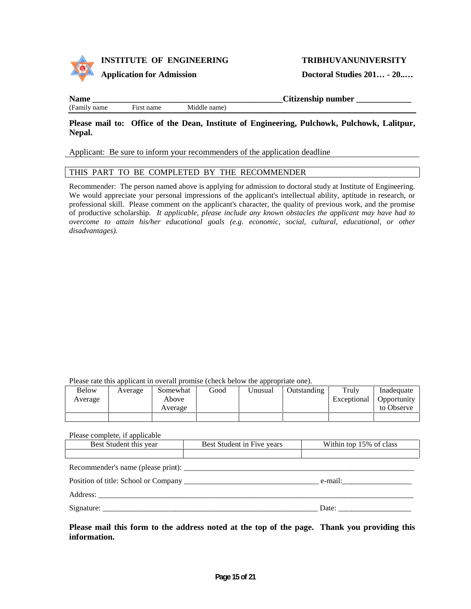



#### **Application for Admission**

**Doctoral Studies 201… - 20..…**

(Family name First name Middle name) First name

Please mail to: Office of the Dean, Institute of Engineering, Pulchowk, Pulchowk, Lalitpur, **Nepal.**

#### Applicant: Be sure to inform your recommenders of the application deadline<br>THIS PART TO BE COMPLETED BY THE RECOMMENDER THIS PART TO BE COMPLETED BY THE RECOMMENDER

Recommender: The person named above is applying for admission to doctoral study at Institute of Engineering. We would appreciate your personal impressions of the applicant's intellectual ability, aptitude in research, or Recommender: The person named above is applying for admission to doctoral study at Institute of Engineering.<br>We would appreciate your personal impressions of the applicant's intellectual ability, aptitude in research, or<br>p of productive scholarship. *It applicable, please include any known obstacles the applicant may have had to It include any may overcome to attain his/her educational goals (e.g. economic, social, cultural, educational, or other disadvantages).*

|              |         | Please rate this applicant in overall promise (check below the appropriate one). |      |         |             |             |             |
|--------------|---------|----------------------------------------------------------------------------------|------|---------|-------------|-------------|-------------|
| <b>Below</b> | Average | Somewhat                                                                         | Good | Unusual | Outstanding | Truly       | Inadequate  |
| Average      |         | Above                                                                            |      |         |             | Exceptional | Opportunity |
|              |         | Average                                                                          |      |         |             |             | to Observe  |
|              |         |                                                                                  |      |         |             |             |             |

Please complete, if applicable

| Best Student this year | Best Student in Five years | Within top 15% of class    |  |
|------------------------|----------------------------|----------------------------|--|
|                        |                            |                            |  |
|                        |                            |                            |  |
|                        |                            | $e$ -mail: $\qquad \qquad$ |  |
|                        |                            |                            |  |
|                        |                            |                            |  |

Please mail this form to the address noted at the top of the page. Thank you providing this **information.**

**Name \_\_\_\_\_\_\_\_\_\_\_\_\_\_\_\_\_\_\_\_\_\_\_\_\_\_\_\_\_\_\_\_\_\_\_\_\_\_\_\_\_\_\_\_\_Citizenship number \_\_\_\_\_\_\_\_\_\_\_\_\_**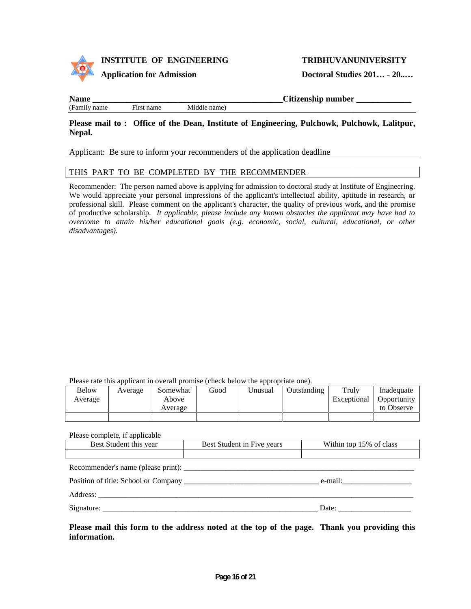

| Position of title: School or Company |  |  |
|--------------------------------------|--|--|
|--------------------------------------|--|--|

Best Student this year Best Student in Five years Within top 15% of class

Address:

Signature: \_\_\_\_\_\_\_\_\_\_\_\_\_\_\_\_\_\_\_\_\_\_\_\_\_\_\_\_\_\_\_\_\_\_\_\_\_\_\_\_\_\_\_\_\_\_\_\_\_\_\_\_\_\_\_\_ Date: \_\_\_\_\_\_\_\_\_\_\_\_\_\_\_\_\_\_\_

Please complete, if applicable

Please mail this form to the address noted at the top of the page. Thank you providing this **information.**

Please rate this applicant in overall promise (check below the appropriate one).<br>
Below Average Above Average Above Average Above Average Above Average Above Average Above Average Above Average Above Average Above Average Average Above Average Exceptional Inadequate Inadequate**Opportunity** to Observe

Below Average Somewhat Good Unusual Outstanding Truly

Recommender: The person named above is applying for admission to doctoral study at Institute of Engineering. We would appreciate your personal impressions of the applicant's intellectual ability, aptitude in research, or Recommender: The person named above is applying for admission to doctoral study at Institute of Engineering.<br>We would appreciate your personal impressions of the applicant's intellectual ability, aptitude in research, or<br>p of productive scholarship. *It applicable, please include any known obstacles the applicant may have had to It include known may overcome to attain his/her educational goals (e.g. economic, social, cultural, educational, or other disadvantages).*

Please mail to: Office of the Dean, Institute of Engineering, Pulchowk, Pulchowk, Lalitpur, **Nepal.**

**Name and the contract of the contract of the contract of the Citizenship number**  $\overline{\text{Cit}}$  **is the contract of the contract of the contract of the contract of the contract of the contract of the contract of the contract** 

Applicant: Be sure to inform your recommenders of the application deadline

# Applicant: Be sure to inform your recommenders of the application deadline<br>THIS PART TO BE COMPLETED BY THE RECOMMENDER



(Family name First name Middle name)

First name

#### **TRIBHUVANUNIVERSITY**

**Doctoral Studies 201… - 20..…**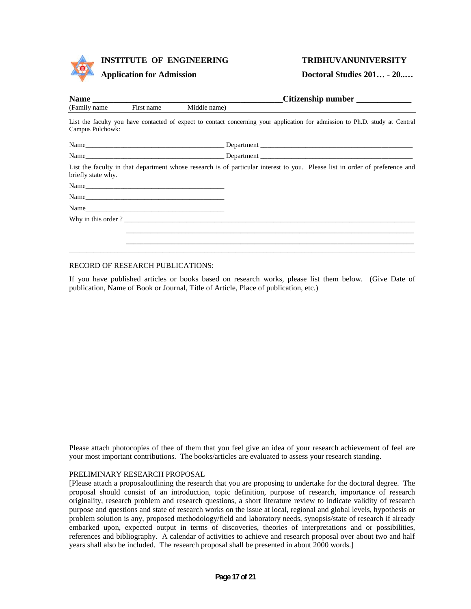

### **INSTITUTE OF ENGINEERING INSTITUTE Application TRIBHUVANUNIVERSITYDoctoral -**

#### **Application for Admission**

#### **TRIBHUVANUNIVERSITY**

**Doctoral Studies 201… - 20..…**

| (Family name)      | First name | Middle name) |                                                                                                                              |
|--------------------|------------|--------------|------------------------------------------------------------------------------------------------------------------------------|
| Campus Pulchowk:   |            |              | List the faculty you have contacted of expect to contact concerning your application for admission to Ph.D. study at Central |
|                    |            |              |                                                                                                                              |
|                    |            |              |                                                                                                                              |
| briefly state why. |            |              | List the faculty in that department whose research is of particular interest to you. Please list in order of preference and  |
|                    |            |              |                                                                                                                              |
|                    |            |              |                                                                                                                              |
|                    | Name       |              |                                                                                                                              |
|                    |            |              |                                                                                                                              |
|                    |            |              |                                                                                                                              |
|                    |            |              |                                                                                                                              |
|                    |            |              |                                                                                                                              |

#### RECORD OF RESEARCH PUBLICATIONS:

If you have published articles or books based on research works, please list them below. (Give Date of publication, Name of Book or Journal, Title of Article, Place of publication, etc.)

Please attach photocopies of thee of them that you feel give an idea of your research achievement of feel are your most important contributions. The books/articles are evaluated to assess your research standing.

#### PRELIMINARY RESEARCH PROPOSAL

[Please attach a proposaloutlining the research that you are proposing to undertake for the doctoral degree. The proposal should consist of an introduction, topic definition, purpose of research, importance of research originality, research problem and research questions, a short literature review to indicate validity of research purpose and questions and state of research works on the issue at local, regional and global levels, hypothesis or problem solution is any, proposed methodology/field and laboratory needs, synopsis/state of research if already embarked upon, expected output in terms of discoveries, theories of interpretations and or possibilities, references and bibliography. A calendar of activities to achieve and research proposal over about two and half years shall also be included. The research proposal shall be presented in about 2000 words.] If you have published articles or books based on research works, please list them below. (Give Date of<br>publication, Name of Book or Journal, Title of Article, Place of publication, etc.)<br>
Please attach photocopies of thee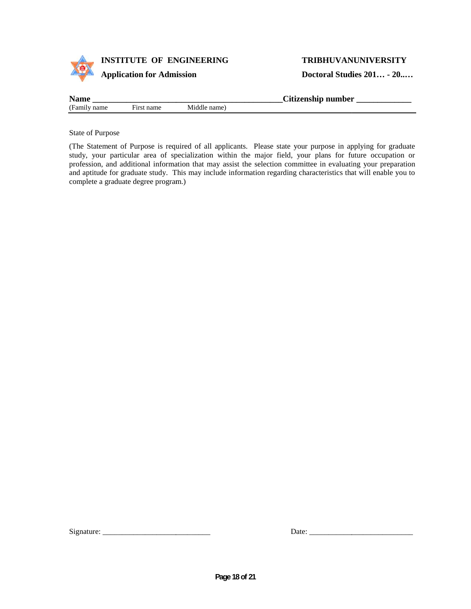

#### **TRIBHUVANUNIVERSITY**

**Doctoral Studies 201… - 20..…**

| <b>Name</b>     |                 |             | $\sim \cdot \cdot$<br>Litizenship number |
|-----------------|-----------------|-------------|------------------------------------------|
| (Family<br>name | ÷.<br>urst name | Middle name |                                          |

State of Purpose

(The Statement of Purpose is required of all applicants. Please state your purpose in applying for graduate study, your particular area of specialization within the major field, your plans for future occupation or profession, and additional information that may assist the selection committee in evaluating your preparation and aptitude for graduate study. This may include information regarding characteristics that will enable you to complete a graduate degree program.) State of Purpose is required of all applicants. Please state your purpose in applying for graduate<br>study, your particular area of specialization within the major field, your plans for frame cocapation<br>or polesion, and addi

| Signature: |
|------------|
|------------|

Signature: \_\_\_\_\_\_\_\_\_\_\_\_\_\_\_\_\_\_\_\_\_\_\_\_\_\_\_\_ Date: \_\_\_\_\_\_\_\_\_\_\_\_\_\_\_\_\_\_\_\_\_\_\_\_\_\_\_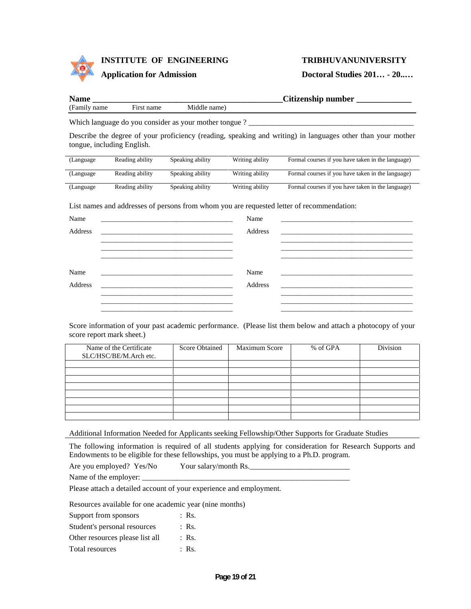

**INSTITUTE OF ENGINEERING INSTITUTE Application TRIBHUVANUNIVERSITYDoctoral -**

#### **Application for Admission**

#### **TRIBHUVANUNIVERSITY**

**Doctoral Studies 201… - 20..…**

| <b>Name</b>     |                            |                                                                                                                                                                                                                               |                 | Citizenship number                                                                                                                                                                                                 |
|-----------------|----------------------------|-------------------------------------------------------------------------------------------------------------------------------------------------------------------------------------------------------------------------------|-----------------|--------------------------------------------------------------------------------------------------------------------------------------------------------------------------------------------------------------------|
| (Family name)   | First name                 | Middle name)                                                                                                                                                                                                                  |                 |                                                                                                                                                                                                                    |
|                 |                            |                                                                                                                                                                                                                               |                 |                                                                                                                                                                                                                    |
|                 | tongue, including English. |                                                                                                                                                                                                                               |                 | Describe the degree of your proficiency (reading, speaking and writing) in languages other than your mother                                                                                                        |
| (Language)      | Reading ability            | Speaking ability                                                                                                                                                                                                              | Writing ability | Formal courses if you have taken in the language)                                                                                                                                                                  |
| (Language       | Reading ability            | Speaking ability                                                                                                                                                                                                              | Writing ability | Formal courses if you have taken in the language)                                                                                                                                                                  |
| (Language       | Reading ability            | Speaking ability                                                                                                                                                                                                              | Writing ability | Formal courses if you have taken in the language)                                                                                                                                                                  |
| Name<br>Address |                            | and the control of the control of the control of the control of the control of the control of the control of the                                                                                                              | Name<br>Address | List names and addresses of persons from whom you are requested letter of recommendation:<br><u> 1989 - Johann Stoff, deutscher Stoff, der Stoff, der Stoff, der Stoff, der Stoff, der Stoff, der Stoff, der S</u> |
|                 |                            |                                                                                                                                                                                                                               |                 |                                                                                                                                                                                                                    |
| Name            |                            |                                                                                                                                                                                                                               | Name            |                                                                                                                                                                                                                    |
| Address         |                            | the control of the control of the control of the control of the control of the control of the control of the control of the control of the control of the control of the control of the control of the control of the control | Address         | <u> 1989 - Johann Stoff, deutscher Stoff, der Stoff, der Stoff, der Stoff, der Stoff, der Stoff, der Stoff, der S</u>                                                                                              |
|                 |                            |                                                                                                                                                                                                                               |                 |                                                                                                                                                                                                                    |
|                 |                            |                                                                                                                                                                                                                               |                 |                                                                                                                                                                                                                    |

Score information of your past academic performance. (Please list them below and attach a photocopy of your score report mark sheet.)

| Name of the Certificate<br>SLC/HSC/BE/M.Arch etc. | <b>Score Obtained</b> | <b>Maximum Score</b> | % of GPA | Division |
|---------------------------------------------------|-----------------------|----------------------|----------|----------|
|                                                   |                       |                      |          |          |
|                                                   |                       |                      |          |          |
|                                                   |                       |                      |          |          |
|                                                   |                       |                      |          |          |
|                                                   |                       |                      |          |          |
|                                                   |                       |                      |          |          |
|                                                   |                       |                      |          |          |

Additional Information Needed for Applicants seeking Fellowship/Other Supports for Graduate Studies

The following information is required of all students applying for consideration for Research Supports and Endowments to be eligible for these fellowships, you must be applying to a Ph.D. program.<br>Are you employed? Yes/No<br> Endowments to be eligible for these fellowships, you must be applying to a Ph.D. program.

Are you employed? Yes/No Your salary/month Rs.

Name of the employer: \_

Please attach a detailed account of your experience and employment.

Resources available for one academic year (nine months)

Support from sponsors : Rs. Student's personal resources : Rs.

- Other resources please list all : Rs.
- Total resources : Rs.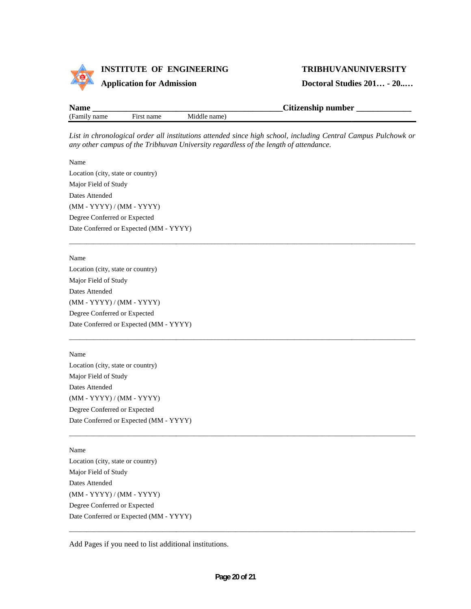

#### **TRIBHUVANUNIVERSITY**

**Doctoral Studies 201… - 20..…**

| Name   |                                      |             | Citizenship number |
|--------|--------------------------------------|-------------|--------------------|
| 'Fami. | $\sim$<br>name<br>H <sub>1</sub> rs. | Middle name |                    |

List in chronological order all institutions attended since high school, including Central Campus Pulchowk or<br>any other campus of the Tribhuvan University regardless of the length of attendance. *any other campus of the Tribhuvan University regardless of the length of attendance.*

Name Location (city, state or country) Major Field of Study Dates Attended (MM - YYYY) / (MM - YYYY) Degree Conferred or Expected Date Conferred or Expected (MM - YYYY)

Name

Location (city, state or country) Major Field of Study Dates Attended (MM - YYYY) / (MM - YYYY) Degree Conferred or Expected Date Conferred or Expected (MM - YYYY)

Name Location (city, state or country) Major Field of Study Dates Attended (MM - YYYY) / (MM - YYYY) Degree Conferred or Expected Date Conferred or Expected (MM - YYYY) Name<br>
Location (city, state or country)<br>
Major Field of Study<br>
Dates Attended<br>
(MM - YYYY) / (MM - YYYY)<br>
Degree Conferred or Expected (MM<br>
Mame<br>
Location (city, state or country)<br>
Major Field of Study<br>
Dates Attended<br>
(MM in chronological order all institutions attended since high school,<br>pher campus of the Tribhuvan University regardless of the length *c*<br>ion (city, state or country)<br>
7<br>
7<br>
7<br>
1 Altended<br>
A Method Study<br>
2 Conferred or Exp

Name

Location (city, state or country) Major Field of Study Dates Attended (MM - YYYY) / (MM - YYYY) Degree Conferred or Expected Date Conferred or Expected (MM - YYYY)

Add Pages if you need to list additional institutions.